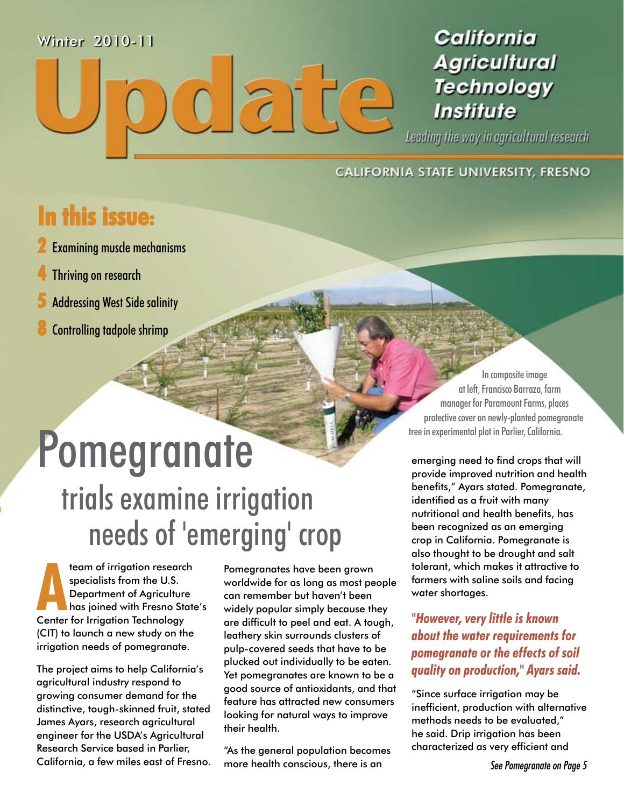#### Winter 2010-11

### California **Agricultural Technology Institute**

Leading the way in agricultural research

#### CALIFORNIA STATE UNIVERSITY, FRESNO

 $\subseteq$ 

**211** 

### **In this issue:**

- **2** Examining muscle mechanisms
- **4** Thriving on research
- **5** Addressing West Side salinity
- **8** Controlling tadpole shrimp

# Pomegranate trials examine irrigation needs of 'emerging' crop

**AND FREE SERVING THE SERVING SERVING THE U.S.**<br>
Department of Agriculture<br>
has joined with Fresno State<br>
Center for Irrigation Technology team of irrigation research specialists from the U.S. Department of Agriculture has joined with Fresno State's (CIT) to launch a new study on the irrigation needs of pomegranate.

The project aims to help California's agricultural industry respond to growing consumer demand for the distinctive, tough-skinned fruit, stated James Ayars, research agricultural engineer for the USDA's Agricultural Research Service based in Parlier, California, a few miles east of Fresno. Pomegranates have been grown worldwide for as long as most people can remember but haven't been widely popular simply because they are difficult to peel and eat. A tough, leathery skin surrounds clusters of pulp-covered seeds that have to be plucked out individually to be eaten. Yet pomegranates are known to be a good source of antioxidants, and that feature has attracted new consumers looking for natural ways to improve their health.

"As the general population becomes more health conscious, there is an

In composite image at left, Francisco Barraza, farm manager for Paramount Farms, places protective cover on newly-planted pomegranate tree in experimental plot in Parlier, California.

emerging need to find crops that will provide improved nutrition and health benefits," Ayars stated. Pomegranate, identified as a fruit with many nutritional and health benefits, has been recognized as an emerging crop in California. Pomegranate is also thought to be drought and salt tolerant, which makes it attractive to farmers with saline soils and facing water shortages.

*"However, very little is known about the water requirements for pomegranate or the effects of soil quality on production," Ayars said.* 

"Since surface irrigation may be inefficient, production with alternative methods needs to be evaluated," he said. Drip irrigation has been characterized as very efficient and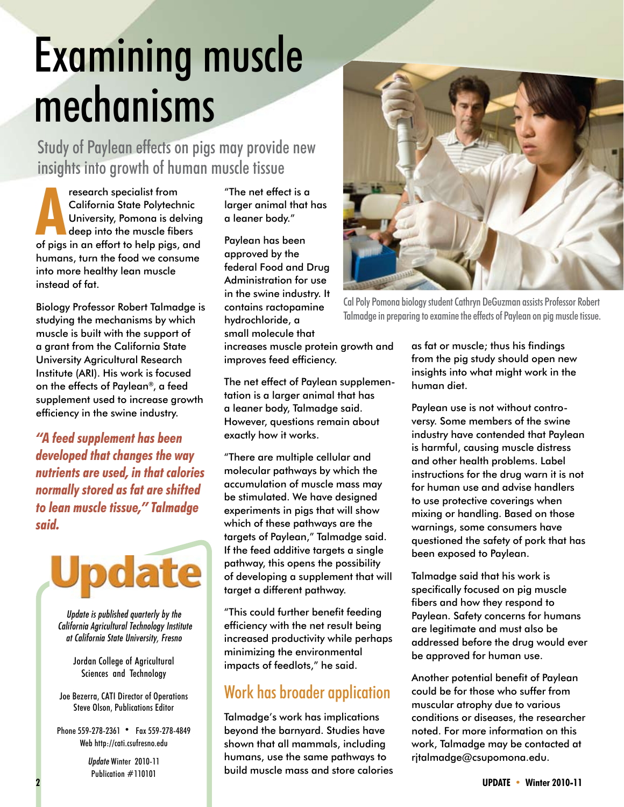# Examining muscle mechanisms

Study of Paylean effects on pigs may provide new insights into growth of human muscle tissue

**AND California State Polytechnic<br>University, Pomona is delving<br>deep into the muscle fibers<br>of pigs in an effort to help pigs, and** research specialist from California State Polytechnic University, Pomona is delving deep into the muscle fibers humans, turn the food we consume into more healthy lean muscle instead of fat.

Biology Professor Robert Talmadge is studying the mechanisms by which muscle is built with the support of a grant from the California State University Agricultural Research Institute (ARI). His work is focused on the effects of Paylean®, a feed supplement used to increase growth efficiency in the swine industry.

*"A feed supplement has been developed that changes the way nutrients are used, in that calories normally stored as fat are shifted to lean muscle tissue," Talmadge said.*



*Update is published quarterly by the California Agricultural Technology Institute at California State University, Fresno*

> Jordan College of Agricultural Sciences and Technology

Joe Bezerra, CATI Director of Operations Steve Olson, Publications Editor

Phone 559-278-2361 • Fax 559-278-4849 Web http://cati.csufresno.edu

> *Update* Winter 2010-11 Publication #110101

"The net effect is a larger animal that has a leaner body."

Paylean has been approved by the federal Food and Drug Administration for use in the swine industry. It contains ractopamine hydrochloride, a small molecule that increases muscle protein growth and improves feed efficiency.

The net effect of Paylean supplementation is a larger animal that has a leaner body, Talmadge said. However, questions remain about exactly how it works.

"There are multiple cellular and molecular pathways by which the accumulation of muscle mass may be stimulated. We have designed experiments in pigs that will show which of these pathways are the targets of Paylean," Talmadge said. If the feed additive targets a single pathway, this opens the possibility of developing a supplement that will target a different pathway.

"This could further benefit feeding efficiency with the net result being increased productivity while perhaps minimizing the environmental impacts of feedlots," he said.

#### Work has broader application

Talmadge's work has implications beyond the barnyard. Studies have shown that all mammals, including humans, use the same pathways to build muscle mass and store calories



Cal Poly Pomona biology student Cathryn DeGuzman assists Professor Robert Talmadge in preparing to examine the effects of Paylean on pig muscle tissue.

as fat or muscle; thus his findings from the pig study should open new insights into what might work in the human diet.

Paylean use is not without controversy. Some members of the swine industry have contended that Paylean is harmful, causing muscle distress and other health problems. Label instructions for the drug warn it is not for human use and advise handlers to use protective coverings when mixing or handling. Based on those warnings, some consumers have questioned the safety of pork that has been exposed to Paylean.

Talmadge said that his work is specifically focused on pig muscle fibers and how they respond to Paylean. Safety concerns for humans are legitimate and must also be addressed before the drug would ever be approved for human use.

Another potential benefit of Paylean could be for those who suffer from muscular atrophy due to various conditions or diseases, the researcher noted. For more information on this work, Talmadge may be contacted at rjtalmadge@csupomona.edu.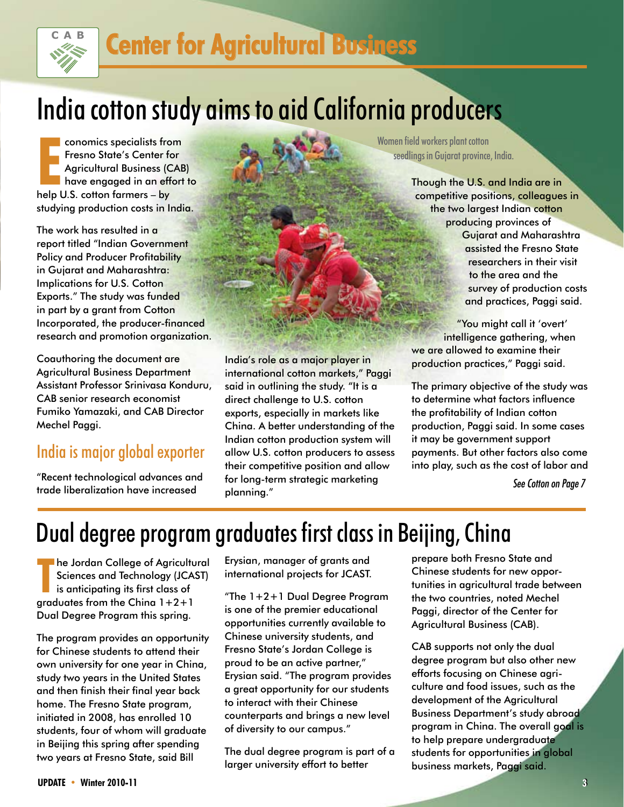

## **Center for Agricultural Business**

## India cotton study aims to aid California producers

**EXECUTE:** Conomics specialists from Fresno State's Center for Agricultural Business (Consider the pulse of the pulse continuously the set of the pulse continuously help U.S. cotton farmers – by conomics specialists from Fresno State's Center for Agricultural Business (CAB) have engaged in an effort to studying production costs in India.

The work has resulted in a report titled "Indian Government Policy and Producer Profitability in Gujarat and Maharashtra: Implications for U.S. Cotton Exports." The study was funded in part by a grant from Cotton Incorporated, the producer-financed research and promotion organization.

Coauthoring the document are Agricultural Business Department Assistant Professor Srinivasa Konduru, CAB senior research economist Fumiko Yamazaki, and CAB Director Mechel Paggi.

#### India is major global exporter

"Recent technological advances and trade liberalization have increased

India's role as a major player in international cotton markets," Paggi said in outlining the study. "It is a direct challenge to U.S. cotton exports, especially in markets like China. A better understanding of the Indian cotton production system will allow U.S. cotton producers to assess their competitive position and allow for long-term strategic marketing planning."

Women field workers plant cotton seedlings in Gujarat province, India.

> Though the U.S. and India are in competitive positions, colleagues in the two largest Indian cotton producing provinces of Gujarat and Maharashtra assisted the Fresno State researchers in their visit to the area and the survey of production costs and practices, Paggi said.

"You might call it 'overt' intelligence gathering, when we are allowed to examine their production practices," Paggi said.

The primary objective of the study was to determine what factors influence the profitability of Indian cotton production, Paggi said. In some cases it may be government support payments. But other factors also come into play, such as the cost of labor and

*See Cotton on Page 7*

### Dual degree program graduates first class in Beijing, China

**The Jordan College of Agricultu**<br>
Sciences and Technology (JCAS<br>
is anticipating its first class of<br>
graduates from the China 1+2+1 he Jordan College of Agricultural Sciences and Technology (JCAST) is anticipating its first class of Dual Degree Program this spring.

The program provides an opportunity for Chinese students to attend their own university for one year in China, study two years in the United States and then finish their final year back home. The Fresno State program, initiated in 2008, has enrolled 10 students, four of whom will graduate in Beijing this spring after spending two years at Fresno State, said Bill

Erysian, manager of grants and international projects for JCAST.

"The 1+2+1 Dual Degree Program is one of the premier educational opportunities currently available to Chinese university students, and Fresno State's Jordan College is proud to be an active partner," Erysian said. "The program provides a great opportunity for our students to interact with their Chinese counterparts and brings a new level of diversity to our campus."

The dual degree program is part of a larger university effort to better

prepare both Fresno State and Chinese students for new opportunities in agricultural trade between the two countries, noted Mechel Paggi, director of the Center for Agricultural Business (CAB).

CAB supports not only the dual degree program but also other new efforts focusing on Chinese agriculture and food issues, such as the development of the Agricultural Business Department's study abroad program in China. The overall goal is to help prepare undergraduate students for opportunities in global business markets, Paggi said.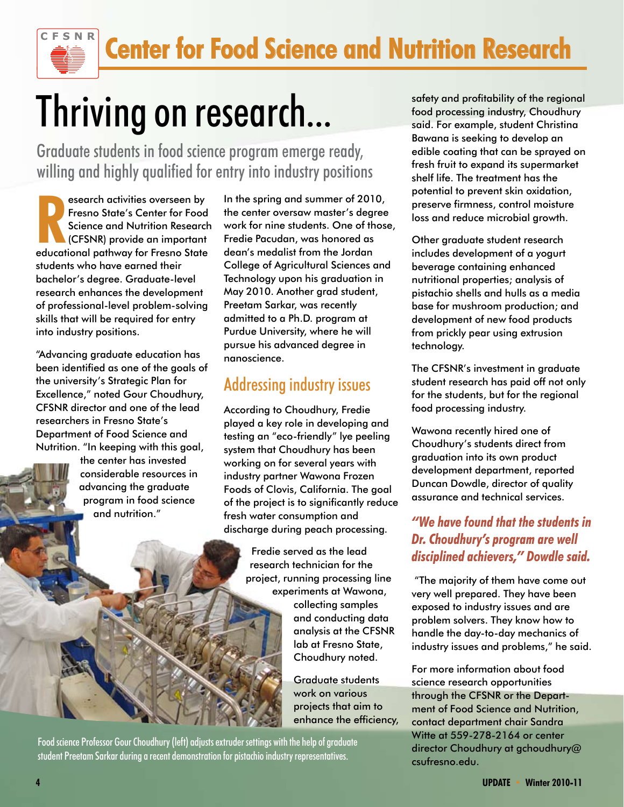# Thriving on research...

Graduate students in food science program emerge ready, willing and highly qualified for entry into industry positions

**Research activities overseen by**<br>
Fresno State's Center for Food<br>
Science and Nutrition Research<br>
(CFSNR) provide an important<br>
educational pathway for Fresno State esearch activities overseen by Fresno State's Center for Food Science and Nutrition Research (CFSNR) provide an important students who have earned their bachelor's degree. Graduate-level research enhances the development of professional-level problem-solving skills that will be required for entry into industry positions.

**CFSN R**

"Advancing graduate education has been identified as one of the goals of the university's Strategic Plan for Excellence," noted Gour Choudhury, CFSNR director and one of the lead researchers in Fresno State's Department of Food Science and Nutrition. "In keeping with this goal,

> the center has invested considerable resources in advancing the graduate program in food science and nutrition."

In the spring and summer of 2010, the center oversaw master's degree work for nine students. One of those, Fredie Pacudan, was honored as dean's medalist from the Jordan College of Agricultural Sciences and Technology upon his graduation in May 2010. Another grad student, Preetam Sarkar, was recently admitted to a Ph.D. program at Purdue University, where he will pursue his advanced degree in nanoscience.

#### Addressing industry issues

According to Choudhury, Fredie played a key role in developing and testing an "eco-friendly" lye peeling system that Choudhury has been working on for several years with industry partner Wawona Frozen Foods of Clovis, California. The goal of the project is to significantly reduce fresh water consumption and discharge during peach processing.

> Fredie served as the lead research technician for the project, running processing line experiments at Wawona,

collecting samples and conducting data analysis at the CFSNR lab at Fresno State, Choudhury noted.

Graduate students work on various projects that aim to enhance the efficiency,

Food science Professor Gour Choudhury (left) adjusts extruder settings with the help of graduate student Preetam Sarkar during a recent demonstration for pistachio industry representatives.

safety and profitability of the regional food processing industry, Choudhury said. For example, student Christina Bawana is seeking to develop an edible coating that can be sprayed on fresh fruit to expand its supermarket shelf life. The treatment has the potential to prevent skin oxidation, preserve firmness, control moisture loss and reduce microbial growth.

Other graduate student research includes development of a yogurt beverage containing enhanced nutritional properties; analysis of pistachio shells and hulls as a media base for mushroom production; and development of new food products from prickly pear using extrusion technology.

The CFSNR's investment in graduate student research has paid off not only for the students, but for the regional food processing industry.

Wawona recently hired one of Choudhury's students direct from graduation into its own product development department, reported Duncan Dowdle, director of quality assurance and technical services.

#### *"We have found that the students in Dr. Choudhury's program are well disciplined achievers," Dowdle said.*

 "The majority of them have come out very well prepared. They have been exposed to industry issues and are problem solvers. They know how to handle the day-to-day mechanics of industry issues and problems," he said.

For more information about food science research opportunities through the CFSNR or the Department of Food Science and Nutrition, contact department chair Sandra Witte at 559-278-2164 or center director Choudhury at gchoudhury@ csufresno.edu.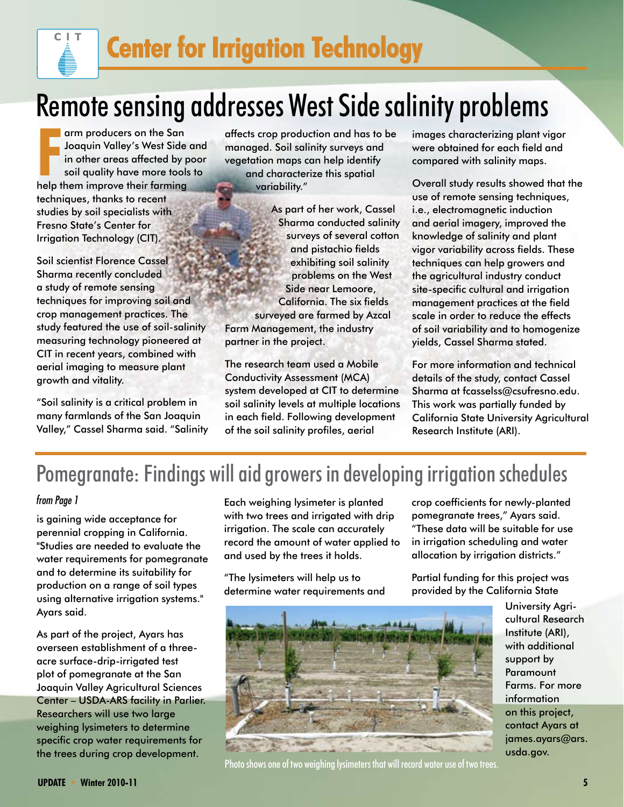# Remote sensing addresses West Side salinity problems

**FR** arm producers on the San<br>
Joaquin Valley's West Side<br>
in other areas affected by p<br>
soil quality have more tools<br>
help them improve their farming arm producers on the San Joaquin Valley's West Side and in other areas affected by poor soil quality have more tools to techniques, thanks to recent studies by soil specialists with Fresno State's Center for Irrigation Technology (CIT).

**ClT**

Soil scientist Florence Cassel Sharma recently concluded a study of remote sensing techniques for improving soil and crop management practices. The study featured the use of soil-salinity measuring technology pioneered at CIT in recent years, combined with aerial imaging to measure plant growth and vitality.

"Soil salinity is a critical problem in many farmlands of the San Joaquin Valley," Cassel Sharma said. "Salinity affects crop production and has to be managed. Soil salinity surveys and vegetation maps can help identify and characterize this spatial variability."

As part of her work, Cassel Sharma conducted salinity surveys of several cotton and pistachio fields exhibiting soil salinity problems on the West Side near Lemoore, California. The six fields surveyed are farmed by Azcal Farm Management, the industry partner in the project.

The research team used a Mobile Conductivity Assessment (MCA) system developed at CIT to determine soil salinity levels at multiple locations in each field. Following development of the soil salinity profiles, aerial

images characterizing plant vigor were obtained for each field and compared with salinity maps.

Overall study results showed that the use of remote sensing techniques, i.e., electromagnetic induction and aerial imagery, improved the knowledge of salinity and plant vigor variability across fields. These techniques can help growers and the agricultural industry conduct site-specific cultural and irrigation management practices at the field scale in order to reduce the effects of soil variability and to homogenize yields, Cassel Sharma stated.

For more information and technical details of the study, contact Cassel Sharma at fcasselss@csufresno.edu. This work was partially funded by California State University Agricultural Research Institute (ARI).

### Pomegranate: Findings will aid growers in developing irrigation schedules

#### *from Page 1*

is gaining wide acceptance for perennial cropping in California. "Studies are needed to evaluate the water requirements for pomegranate and to determine its suitability for production on a range of soil types using alternative irrigation systems." Ayars said.

As part of the project, Ayars has overseen establishment of a threeacre surface-drip-irrigated test plot of pomegranate at the San Joaquin Valley Agricultural Sciences Center – USDA-ARS facility in Parlier. Researchers will use two large weighing lysimeters to determine specific crop water requirements for the trees during crop development.

Each weighing lysimeter is planted with two trees and irrigated with drip irrigation. The scale can accurately record the amount of water applied to and used by the trees it holds.

"The lysimeters will help us to determine water requirements and crop coefficients for newly-planted pomegranate trees," Ayars said. "These data will be suitable for use in irrigation scheduling and water allocation by irrigation districts."

Partial funding for this project was provided by the California State



Photo shows one of two weighing lysimeters that will record water use of two trees.

University Agricultural Research Institute (ARI), with additional support by Paramount Farms. For more information on this project, contact Ayars at james.ayars@ars. usda.gov.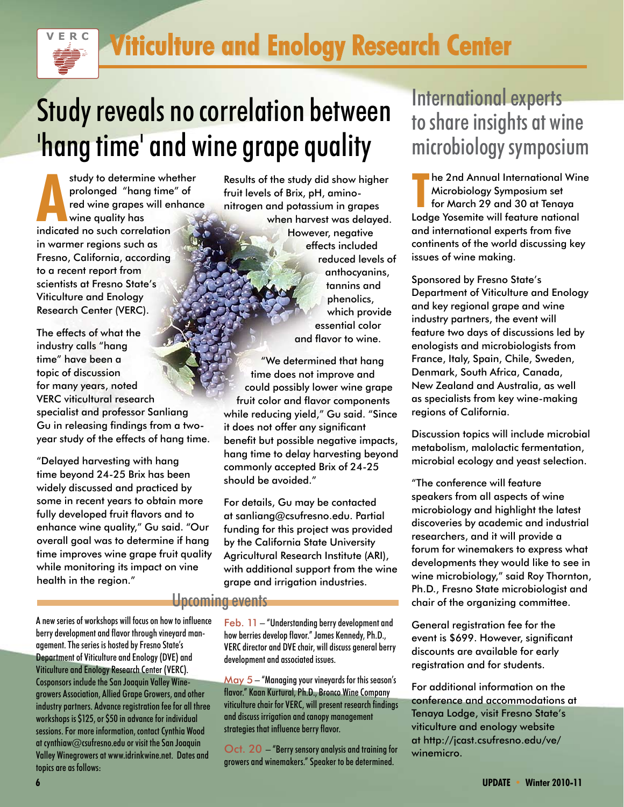

# Study reveals no correlation between 'hang time' and wine grape quality

study to determine whe<br>prolonged "hang time<br>red wine grapes will er<br>wine quality has<br>indicated no such correlation study to determine whether prolonged "hang time" of red wine grapes will enhance wine quality has in warmer regions such as Fresno, California, according to a recent report from scientists at Fresno State's Viticulture and Enology Research Center (VERC).

The effects of what the industry calls "hang time" have been a topic of discussion for many years, noted VERC viticultural research specialist and professor Sanliang Gu in releasing findings from a twoyear study of the effects of hang time.

"Delayed harvesting with hang time beyond 24-25 Brix has been widely discussed and practiced by some in recent years to obtain more fully developed fruit flavors and to enhance wine quality," Gu said. "Our overall goal was to determine if hang time improves wine grape fruit quality while monitoring its impact on vine health in the region."

Results of the study did show higher fruit levels of Brix, pH, aminonitrogen and potassium in grapes when harvest was delayed. However, negative effects included reduced levels of anthocyanins, tannins and phenolics, which provide essential color and flavor to wine.

"We determined that hang time does not improve and could possibly lower wine grape fruit color and flavor components while reducing yield," Gu said. "Since it does not offer any significant benefit but possible negative impacts, hang time to delay harvesting beyond commonly accepted Brix of 24-25 should be avoided."

For details, Gu may be contacted at sanliang@csufresno.edu. Partial funding for this project was provided by the California State University Agricultural Research Institute (ARI), with additional support from the wine grape and irrigation industries.

#### Upcoming events

A new series of workshops will focus on how to influence berry development and flavor through vineyard management. The series is hosted by Fresno State's Department of Viticulture and Enology (DVE) and Viticulture and Enology Research Center (VERC). Cosponsors include the San Joaquin Valley Winegrowers Association, Allied Grape Growers, and other industry partners. Advance registration fee for all three workshops is \$125, or \$50 in advance for individual

sessions. For more information, contact Cynthia Wood at cynthiaw@csufresno.edu or visit the San Joaquin Valley Winegrowers at www.idrinkwine.net. Dates and topics are as follows:

Feb. 11 – "Understanding berry development and how berries develop flavor." James Kennedy, Ph.D., VERC director and DVE chair, will discuss general berry development and associated issues.

 $M$ ay  $5 - 4$ Managing your vineyards for this season's flavor." Kaan Kurtural, Ph.D., Bronco Wine Company viticulture chair for VERC, will present research findings and discuss irrigation and canopy management strategies that influence berry flavor.

Oct. 20 – "Berry sensory analysis and training for growers and winemakers." Speaker to be determined.

### International experts to share insights at wine microbiology symposium

**The 2nd Annual International Win<br>
Microbiology Symposium set<br>
for March 29 and 30 at Tenaya<br>
Lodge Yosemite will feature national** he 2nd Annual International Wine Microbiology Symposium set for March 29 and 30 at Tenaya and international experts from five continents of the world discussing key issues of wine making.

Sponsored by Fresno State's Department of Viticulture and Enology and key regional grape and wine industry partners, the event will feature two days of discussions led by enologists and microbiologists from France, Italy, Spain, Chile, Sweden, Denmark, South Africa, Canada, New Zealand and Australia, as well as specialists from key wine-making regions of California.

Discussion topics will include microbial metabolism, malolactic fermentation, microbial ecology and yeast selection.

"The conference will feature speakers from all aspects of wine microbiology and highlight the latest discoveries by academic and industrial researchers, and it will provide a forum for winemakers to express what developments they would like to see in wine microbiology," said Roy Thornton, Ph.D., Fresno State microbiologist and chair of the organizing committee.

General registration fee for the event is \$699. However, significant discounts are available for early registration and for students.

For additional information on the conference and accommodations at Tenaya Lodge, visit Fresno State's viticulture and enology website at http://jcast.csufresno.edu/ve/ winemicro.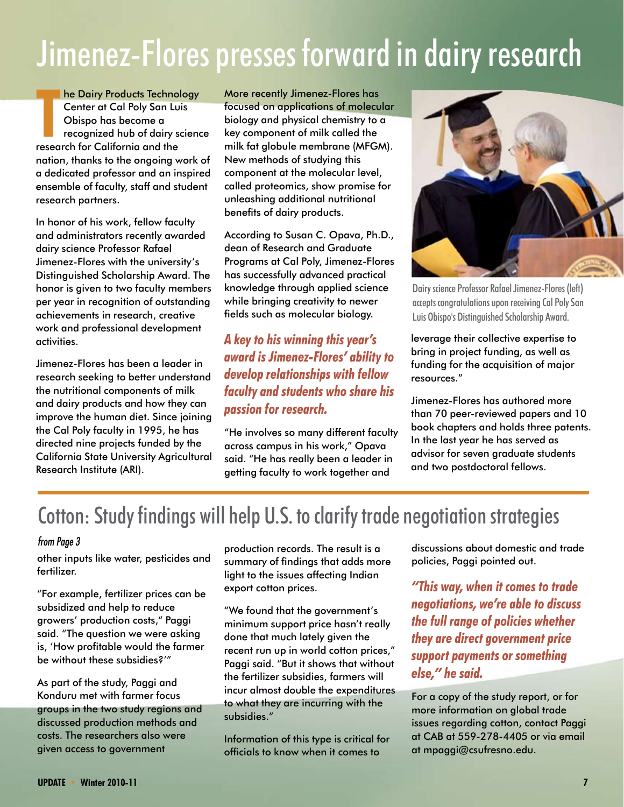# Jimenez-Flores presses forward in dairy research

**The Dairy Products Technol**<br>
Center at Cal Poly San Lu<br>
Obispo has become a<br>
recognized hub of dairy se<br>
research for California and the he Dairy Products Technology Center at Cal Poly San Luis Obispo has become a recognized hub of dairy science nation, thanks to the ongoing work of a dedicated professor and an inspired ensemble of faculty, staff and student research partners.

In honor of his work, fellow faculty and administrators recently awarded dairy science Professor Rafael Jimenez-Flores with the university's Distinguished Scholarship Award. The honor is given to two faculty members per year in recognition of outstanding achievements in research, creative work and professional development activities.

Jimenez-Flores has been a leader in research seeking to better understand the nutritional components of milk and dairy products and how they can improve the human diet. Since joining the Cal Poly faculty in 1995, he has directed nine projects funded by the California State University Agricultural Research Institute (ARI).

More recently Jimenez-Flores has focused on applications of molecular biology and physical chemistry to a key component of milk called the milk fat globule membrane (MFGM). New methods of studying this component at the molecular level, called proteomics, show promise for unleashing additional nutritional benefits of dairy products.

According to Susan C. Opava, Ph.D., dean of Research and Graduate Programs at Cal Poly, Jimenez-Flores has successfully advanced practical knowledge through applied science while bringing creativity to newer fields such as molecular biology.

*A key to his winning this year's award is Jimenez-Flores' ability to develop relationships with fellow faculty and students who share his passion for research.*

"He involves so many different faculty across campus in his work," Opava said. "He has really been a leader in getting faculty to work together and



Dairy science Professor Rafael Jimenez-Flores (left) accepts congratulations upon receiving Cal Poly San Luis Obispo's Distinguished Scholarship Award.

leverage their collective expertise to bring in project funding, as well as funding for the acquisition of major resources."

Jimenez-Flores has authored more than 70 peer-reviewed papers and 10 book chapters and holds three patents. In the last year he has served as advisor for seven graduate students and two postdoctoral fellows.

### Cotton: Study findings will help U.S. to clarify trade negotiation strategies

#### *from Page 3*

other inputs like water, pesticides and fertilizer.

"For example, fertilizer prices can be subsidized and help to reduce growers' production costs," Paggi said. "The question we were asking is, 'How profitable would the farmer be without these subsidies?'"

As part of the study, Paggi and Konduru met with farmer focus groups in the two study regions and discussed production methods and costs. The researchers also were given access to government

production records. The result is a summary of findings that adds more light to the issues affecting Indian export cotton prices.

"We found that the government's minimum support price hasn't really done that much lately given the recent run up in world cotton prices," Paggi said. "But it shows that without the fertilizer subsidies, farmers will incur almost double the expenditures to what they are incurring with the subsidies."

Information of this type is critical for officials to know when it comes to

discussions about domestic and trade policies, Paggi pointed out.

*"This way, when it comes to trade negotiations, we're able to discuss the full range of policies whether they are direct government price support payments or something else," he said.*

For a copy of the study report, or for more information on global trade issues regarding cotton, contact Paggi at CAB at 559-278-4405 or via email at mpaggi@csufresno.edu.